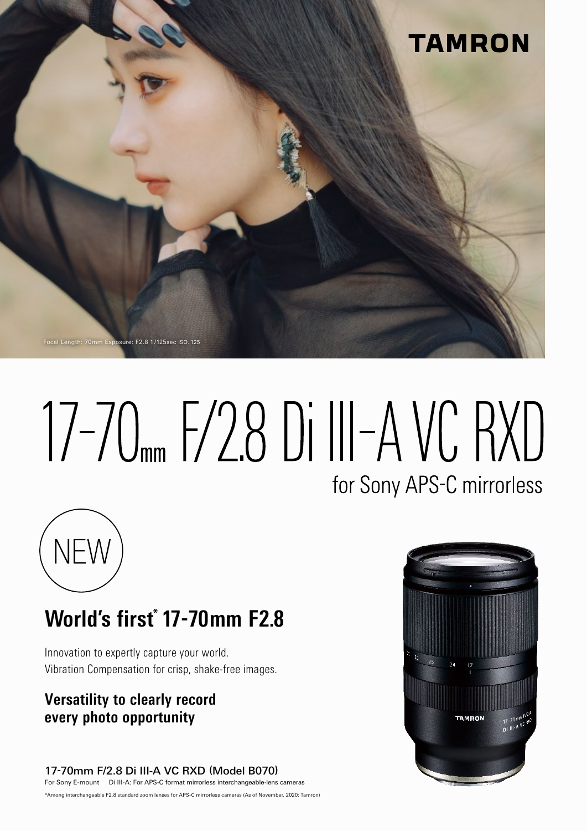

# 17-70 F/28 Di III-A VC RXD for Sony APS-C mirrorless



# **World's first<sup>\*</sup> 17-70mm F2.8**

Innovation to expertly capture your world. Vibration Compensation for crisp, shake-free images.

## **Versatility to clearly record opportunity photo every**

17-70mm F/2.8 Di III-A VC RXD (Model B070) For Sony E-mount Di III-A: For APS-C format mirrorless interchangeable-lens cameras

\*Among interchangeable F2.8 standard zoom lenses for APS-C mirrorless cameras (As of November, 2020: Tamron)